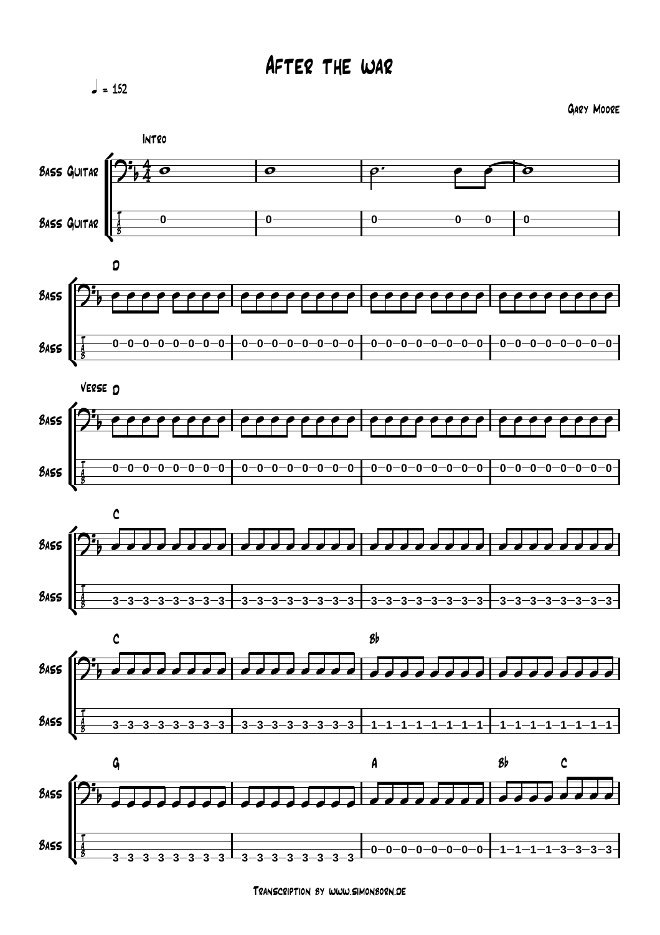$= 152$ 

Gary Moore













Transcription by www.simonborn.de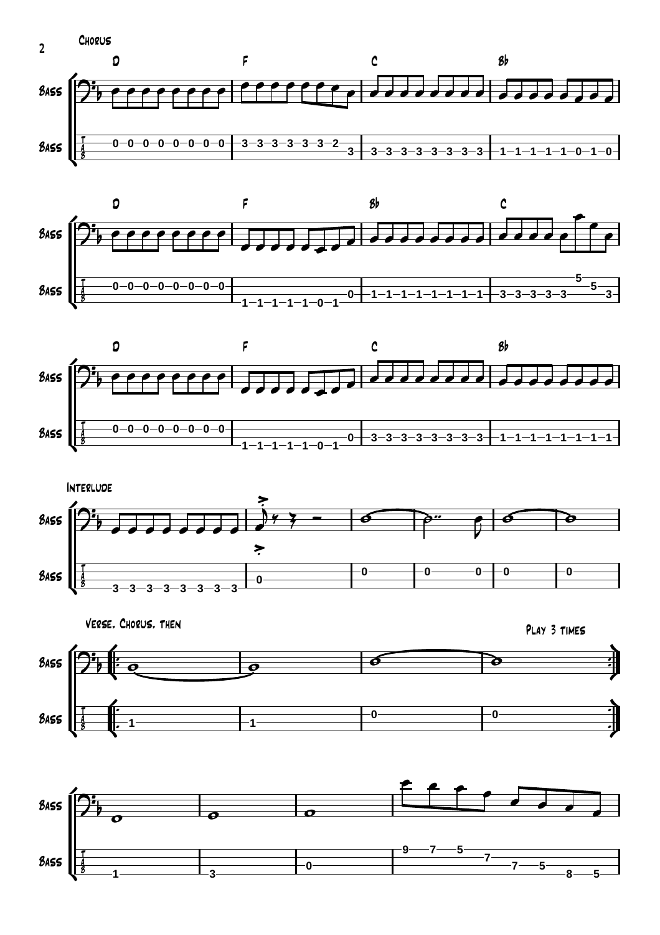









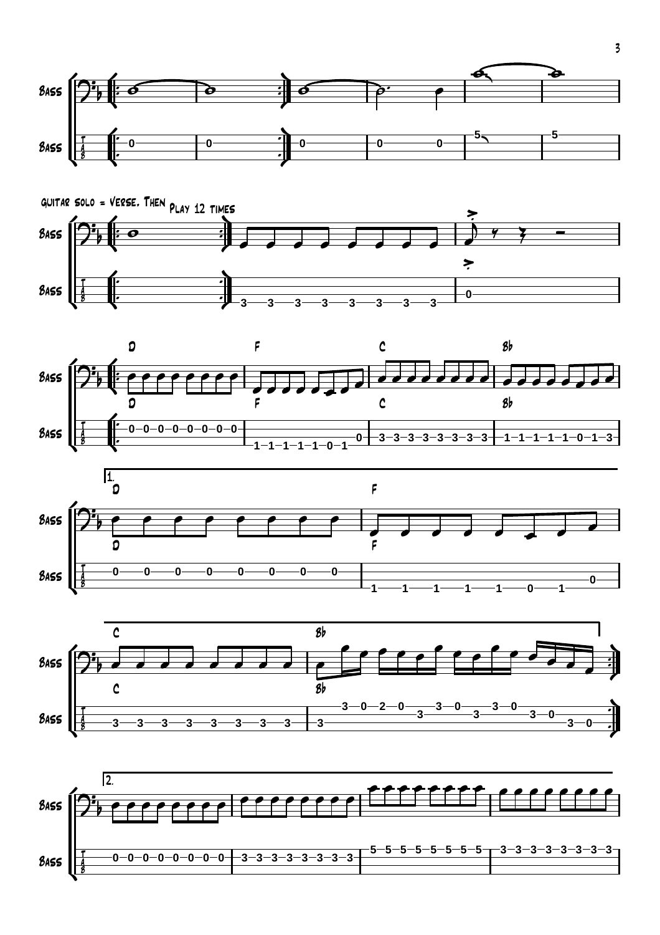